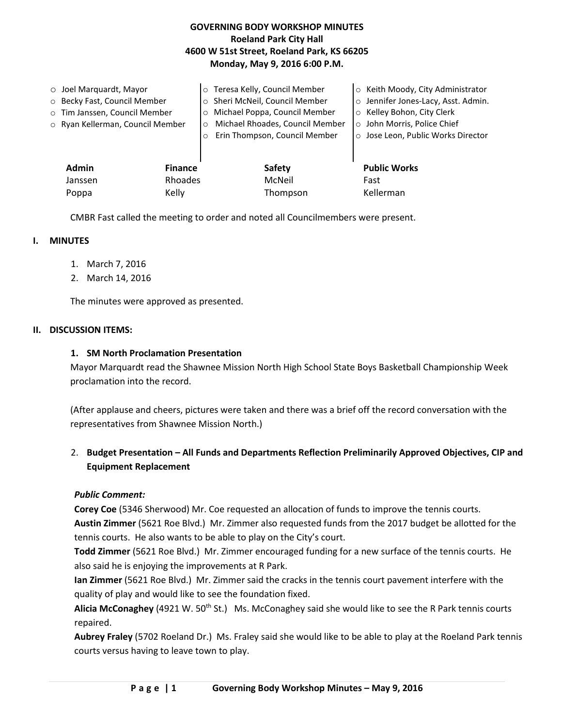# **GOVERNING BODY WORKSHOP MINUTES Roeland Park City Hall 4600 W 51st Street, Roeland Park, KS 66205 Monday, May 9, 2016 6:00 P.M.**

| $\circ$ Joel Marquardt, Mayor<br>o Becky Fast, Council Member<br>o Tim Janssen, Council Member<br>o Ryan Kellerman, Council Member |                           | Teresa Kelly, Council Member<br>Sheri McNeil, Council Member<br>$\circ$<br>Michael Poppa, Council Member<br>$\circ$<br>Michael Rhoades, Council Member<br>$\circ$<br>Erin Thompson, Council Member<br>$\circ$ | ○ Keith Moody, City Administrator<br>o Jennifer Jones-Lacy, Asst. Admin.<br>Kelley Bohon, City Clerk<br>$\circ$<br>o John Morris, Police Chief<br>o Jose Leon, Public Works Director |
|------------------------------------------------------------------------------------------------------------------------------------|---------------------------|---------------------------------------------------------------------------------------------------------------------------------------------------------------------------------------------------------------|--------------------------------------------------------------------------------------------------------------------------------------------------------------------------------------|
| <b>Admin</b><br>Janssen                                                                                                            | <b>Finance</b><br>Rhoades | Safety<br>McNeil                                                                                                                                                                                              | <b>Public Works</b><br>Fast                                                                                                                                                          |
| Poppa                                                                                                                              | Kelly                     | Thompson                                                                                                                                                                                                      | Kellerman                                                                                                                                                                            |

CMBR Fast called the meeting to order and noted all Councilmembers were present.

## **I. MINUTES**

- 1. March 7, 2016
- 2. March 14, 2016

The minutes were approved as presented.

### **II. DISCUSSION ITEMS:**

### **1. SM North Proclamation Presentation**

Mayor Marquardt read the Shawnee Mission North High School State Boys Basketball Championship Week proclamation into the record.

(After applause and cheers, pictures were taken and there was a brief off the record conversation with the representatives from Shawnee Mission North.)

# 2. **Budget Presentation – All Funds and Departments Reflection Preliminarily Approved Objectives, CIP and Equipment Replacement**

## *Public Comment:*

**Corey Coe** (5346 Sherwood) Mr. Coe requested an allocation of funds to improve the tennis courts.

**Austin Zimmer** (5621 Roe Blvd.) Mr. Zimmer also requested funds from the 2017 budget be allotted for the tennis courts. He also wants to be able to play on the City's court.

**Todd Zimmer** (5621 Roe Blvd.) Mr. Zimmer encouraged funding for a new surface of the tennis courts. He also said he is enjoying the improvements at R Park.

**Ian Zimmer** (5621 Roe Blvd.) Mr. Zimmer said the cracks in the tennis court pavement interfere with the quality of play and would like to see the foundation fixed.

Alicia McConaghey (4921 W. 50<sup>th</sup> St.) Ms. McConaghey said she would like to see the R Park tennis courts repaired.

**Aubrey Fraley** (5702 Roeland Dr.) Ms. Fraley said she would like to be able to play at the Roeland Park tennis courts versus having to leave town to play.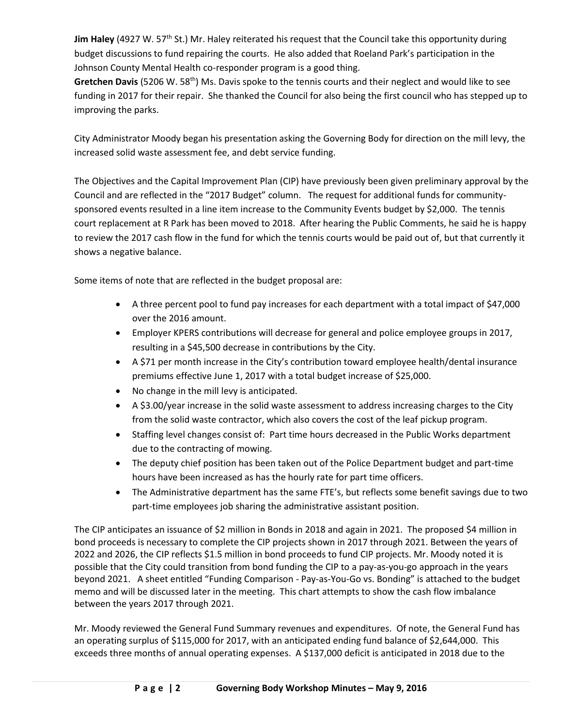Jim Haley (4927 W. 57<sup>th</sup> St.) Mr. Haley reiterated his request that the Council take this opportunity during budget discussions to fund repairing the courts. He also added that Roeland Park's participation in the Johnson County Mental Health co-responder program is a good thing.

Gretchen Davis (5206 W. 58<sup>th</sup>) Ms. Davis spoke to the tennis courts and their neglect and would like to see funding in 2017 for their repair. She thanked the Council for also being the first council who has stepped up to improving the parks.

City Administrator Moody began his presentation asking the Governing Body for direction on the mill levy, the increased solid waste assessment fee, and debt service funding.

The Objectives and the Capital Improvement Plan (CIP) have previously been given preliminary approval by the Council and are reflected in the "2017 Budget" column. The request for additional funds for communitysponsored events resulted in a line item increase to the Community Events budget by \$2,000. The tennis court replacement at R Park has been moved to 2018. After hearing the Public Comments, he said he is happy to review the 2017 cash flow in the fund for which the tennis courts would be paid out of, but that currently it shows a negative balance.

Some items of note that are reflected in the budget proposal are:

- A three percent pool to fund pay increases for each department with a total impact of \$47,000 over the 2016 amount.
- Employer KPERS contributions will decrease for general and police employee groups in 2017, resulting in a \$45,500 decrease in contributions by the City.
- A \$71 per month increase in the City's contribution toward employee health/dental insurance premiums effective June 1, 2017 with a total budget increase of \$25,000.
- No change in the mill levy is anticipated.
- A \$3.00/year increase in the solid waste assessment to address increasing charges to the City from the solid waste contractor, which also covers the cost of the leaf pickup program.
- Staffing level changes consist of: Part time hours decreased in the Public Works department due to the contracting of mowing.
- The deputy chief position has been taken out of the Police Department budget and part-time hours have been increased as has the hourly rate for part time officers.
- The Administrative department has the same FTE's, but reflects some benefit savings due to two part-time employees job sharing the administrative assistant position.

The CIP anticipates an issuance of \$2 million in Bonds in 2018 and again in 2021. The proposed \$4 million in bond proceeds is necessary to complete the CIP projects shown in 2017 through 2021. Between the years of 2022 and 2026, the CIP reflects \$1.5 million in bond proceeds to fund CIP projects. Mr. Moody noted it is possible that the City could transition from bond funding the CIP to a pay-as-you-go approach in the years beyond 2021. A sheet entitled "Funding Comparison - Pay-as-You-Go vs. Bonding" is attached to the budget memo and will be discussed later in the meeting. This chart attempts to show the cash flow imbalance between the years 2017 through 2021.

Mr. Moody reviewed the General Fund Summary revenues and expenditures. Of note, the General Fund has an operating surplus of \$115,000 for 2017, with an anticipated ending fund balance of \$2,644,000. This exceeds three months of annual operating expenses. A \$137,000 deficit is anticipated in 2018 due to the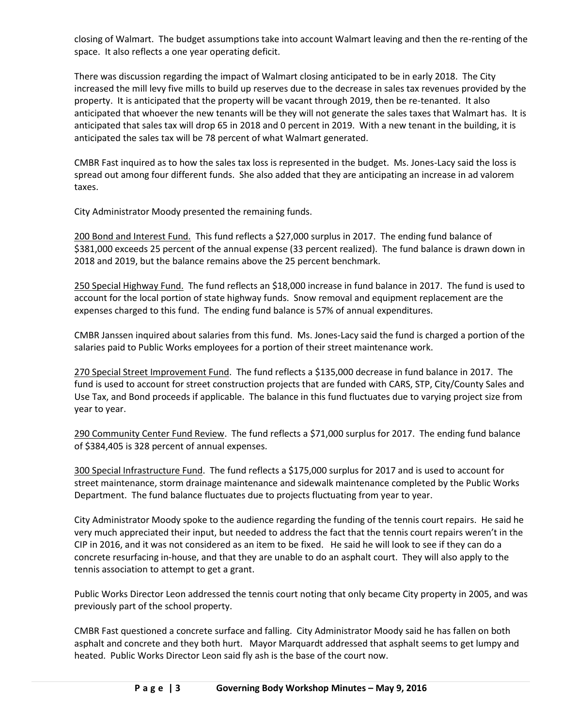closing of Walmart. The budget assumptions take into account Walmart leaving and then the re-renting of the space. It also reflects a one year operating deficit.

There was discussion regarding the impact of Walmart closing anticipated to be in early 2018. The City increased the mill levy five mills to build up reserves due to the decrease in sales tax revenues provided by the property. It is anticipated that the property will be vacant through 2019, then be re-tenanted. It also anticipated that whoever the new tenants will be they will not generate the sales taxes that Walmart has. It is anticipated that sales tax will drop 65 in 2018 and 0 percent in 2019. With a new tenant in the building, it is anticipated the sales tax will be 78 percent of what Walmart generated.

CMBR Fast inquired as to how the sales tax loss is represented in the budget. Ms. Jones-Lacy said the loss is spread out among four different funds. She also added that they are anticipating an increase in ad valorem taxes.

City Administrator Moody presented the remaining funds.

200 Bond and Interest Fund. This fund reflects a \$27,000 surplus in 2017. The ending fund balance of \$381,000 exceeds 25 percent of the annual expense (33 percent realized). The fund balance is drawn down in 2018 and 2019, but the balance remains above the 25 percent benchmark.

250 Special Highway Fund. The fund reflects an \$18,000 increase in fund balance in 2017. The fund is used to account for the local portion of state highway funds. Snow removal and equipment replacement are the expenses charged to this fund. The ending fund balance is 57% of annual expenditures.

CMBR Janssen inquired about salaries from this fund. Ms. Jones-Lacy said the fund is charged a portion of the salaries paid to Public Works employees for a portion of their street maintenance work.

270 Special Street Improvement Fund. The fund reflects a \$135,000 decrease in fund balance in 2017. The fund is used to account for street construction projects that are funded with CARS, STP, City/County Sales and Use Tax, and Bond proceeds if applicable. The balance in this fund fluctuates due to varying project size from year to year.

290 Community Center Fund Review. The fund reflects a \$71,000 surplus for 2017. The ending fund balance of \$384,405 is 328 percent of annual expenses.

300 Special Infrastructure Fund. The fund reflects a \$175,000 surplus for 2017 and is used to account for street maintenance, storm drainage maintenance and sidewalk maintenance completed by the Public Works Department. The fund balance fluctuates due to projects fluctuating from year to year.

City Administrator Moody spoke to the audience regarding the funding of the tennis court repairs. He said he very much appreciated their input, but needed to address the fact that the tennis court repairs weren't in the CIP in 2016, and it was not considered as an item to be fixed. He said he will look to see if they can do a concrete resurfacing in-house, and that they are unable to do an asphalt court. They will also apply to the tennis association to attempt to get a grant.

Public Works Director Leon addressed the tennis court noting that only became City property in 2005, and was previously part of the school property.

CMBR Fast questioned a concrete surface and falling. City Administrator Moody said he has fallen on both asphalt and concrete and they both hurt. Mayor Marquardt addressed that asphalt seems to get lumpy and heated. Public Works Director Leon said fly ash is the base of the court now.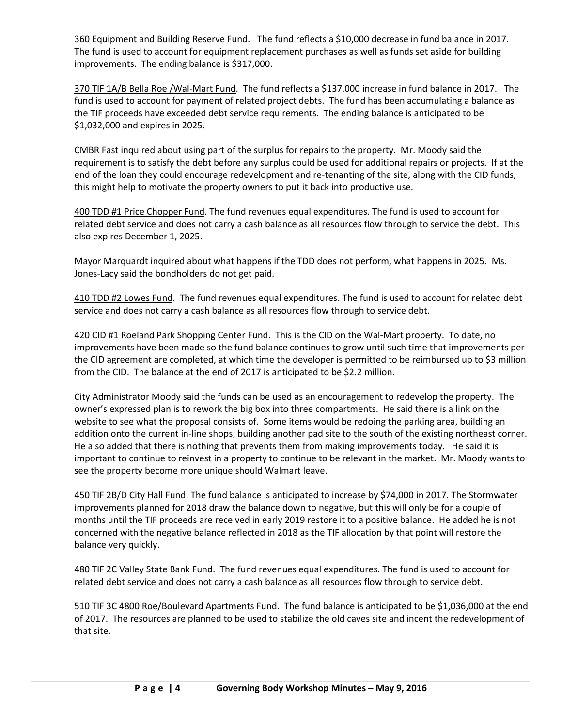360 Equipment and Building Reserve Fund. The fund reflects a \$10,000 decrease in fund balance in 2017. The fund is used to account for equipment replacement purchases as well as funds set aside for building improvements. The ending balance is \$317,000.

370 TIF 1A/B Bella Roe /Wal-Mart Fund. The fund reflects a \$137,000 increase in fund balance in 2017. The fund is used to account for payment of related project debts. The fund has been accumulating a balance as the TIF proceeds have exceeded debt service requirements. The ending balance is anticipated to be \$1,032,000 and expires in 2025.

CMBR Fast inquired about using part of the surplus for repairs to the property. Mr. Moody said the requirement is to satisfy the debt before any surplus could be used for additional repairs or projects. If at the end of the loan they could encourage redevelopment and re-tenanting of the site, along with the CID funds, this might help to motivate the property owners to put it back into productive use.

400 TDD #1 Price Chopper Fund. The fund revenues equal expenditures. The fund is used to account for related debt service and does not carry a cash balance as all resources flow through to service the debt. This also expires December 1, 2025.

Mayor Marquardt inquired about what happens if the TDD does not perform, what happens in 2025. Ms. Jones-Lacy said the bondholders do not get paid.

410 TDD #2 Lowes Fund. The fund revenues equal expenditures. The fund is used to account for related debt service and does not carry a cash balance as all resources flow through to service debt.

420 CID #1 Roeland Park Shopping Center Fund. This is the CID on the Wal-Mart property. To date, no improvements have been made so the fund balance continues to grow until such time that improvements per the CID agreement are completed, at which time the developer is permitted to be reimbursed up to \$3 million from the CID. The balance at the end of 2017 is anticipated to be \$2.2 million.

City Administrator Moody said the funds can be used as an encouragement to redevelop the property. The owner's expressed plan is to rework the big box into three compartments. He said there is a link on the website to see what the proposal consists of. Some items would be redoing the parking area, building an addition onto the current in-line shops, building another pad site to the south of the existing northeast corner. He also added that there is nothing that prevents them from making improvements today. He said it is important to continue to reinvest in a property to continue to be relevant in the market. Mr. Moody wants to see the property become more unique should Walmart leave.

450 TIF 2B/D City Hall Fund. The fund balance is anticipated to increase by \$74,000 in 2017. The Stormwater improvements planned for 2018 draw the balance down to negative, but this will only be for a couple of months until the TIF proceeds are received in early 2019 restore it to a positive balance. He added he is not concerned with the negative balance reflected in 2018 as the TIF allocation by that point will restore the balance very quickly.

480 TIF 2C Valley State Bank Fund. The fund revenues equal expenditures. The fund is used to account for related debt service and does not carry a cash balance as all resources flow through to service debt.

510 TIF 3C 4800 Roe/Boulevard Apartments Fund. The fund balance is anticipated to be \$1,036,000 at the end of 2017. The resources are planned to be used to stabilize the old caves site and incent the redevelopment of that site.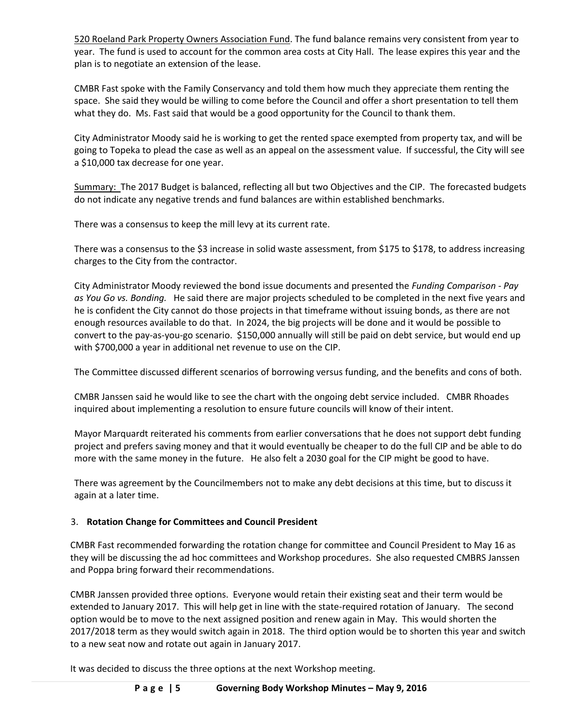520 Roeland Park Property Owners Association Fund. The fund balance remains very consistent from year to year. The fund is used to account for the common area costs at City Hall. The lease expires this year and the plan is to negotiate an extension of the lease.

CMBR Fast spoke with the Family Conservancy and told them how much they appreciate them renting the space. She said they would be willing to come before the Council and offer a short presentation to tell them what they do. Ms. Fast said that would be a good opportunity for the Council to thank them.

City Administrator Moody said he is working to get the rented space exempted from property tax, and will be going to Topeka to plead the case as well as an appeal on the assessment value. If successful, the City will see a \$10,000 tax decrease for one year.

Summary: The 2017 Budget is balanced, reflecting all but two Objectives and the CIP. The forecasted budgets do not indicate any negative trends and fund balances are within established benchmarks.

There was a consensus to keep the mill levy at its current rate.

There was a consensus to the \$3 increase in solid waste assessment, from \$175 to \$178, to address increasing charges to the City from the contractor.

City Administrator Moody reviewed the bond issue documents and presented the *Funding Comparison - Pay as You Go vs. Bonding.* He said there are major projects scheduled to be completed in the next five years and he is confident the City cannot do those projects in that timeframe without issuing bonds, as there are not enough resources available to do that. In 2024, the big projects will be done and it would be possible to convert to the pay-as-you-go scenario. \$150,000 annually will still be paid on debt service, but would end up with \$700,000 a year in additional net revenue to use on the CIP.

The Committee discussed different scenarios of borrowing versus funding, and the benefits and cons of both.

CMBR Janssen said he would like to see the chart with the ongoing debt service included. CMBR Rhoades inquired about implementing a resolution to ensure future councils will know of their intent.

Mayor Marquardt reiterated his comments from earlier conversations that he does not support debt funding project and prefers saving money and that it would eventually be cheaper to do the full CIP and be able to do more with the same money in the future. He also felt a 2030 goal for the CIP might be good to have.

There was agreement by the Councilmembers not to make any debt decisions at this time, but to discuss it again at a later time.

# 3. **Rotation Change for Committees and Council President**

CMBR Fast recommended forwarding the rotation change for committee and Council President to May 16 as they will be discussing the ad hoc committees and Workshop procedures. She also requested CMBRS Janssen and Poppa bring forward their recommendations.

CMBR Janssen provided three options. Everyone would retain their existing seat and their term would be extended to January 2017. This will help get in line with the state-required rotation of January. The second option would be to move to the next assigned position and renew again in May. This would shorten the 2017/2018 term as they would switch again in 2018. The third option would be to shorten this year and switch to a new seat now and rotate out again in January 2017.

It was decided to discuss the three options at the next Workshop meeting.